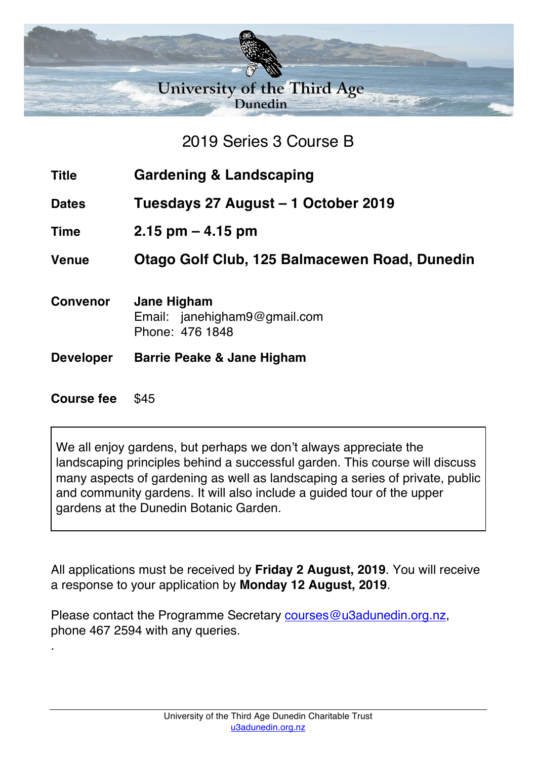

## 2019 Series 3 Course B

- **Title Gardening & Landscaping**
- **Dates Tuesdays 27 August – 1 October 2019**
- **Time 2.15 pm – 4.15 pm**

**Venue Otago Golf Club, 125 Balmacewen Road, Dunedin**

- **Convenor Jane Higham** Email: janehigham9@gmail.com Phone: 476 1848
- **Developer Barrie Peake & Jane Higham**

## **Course fee** \$45

.

We all enjoy gardens, but perhaps we don't always appreciate the landscaping principles behind a successful garden. This course will discuss many aspects of gardening as well as landscaping a series of private, public and community gardens. It will also include a guided tour of the upper gardens at the Dunedin Botanic Garden.

All applications must be received by **Friday 2 August, 2019**. You will receive a response to your application by **Monday 12 August, 2019**.

Please contact the Programme Secretary courses@u3adunedin.org.nz, phone 467 2594 with any queries.